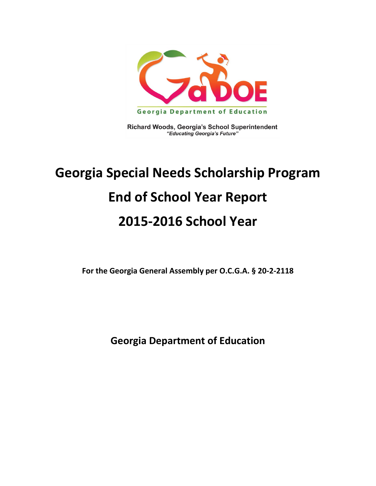

Richard Woods, Georgia's School Superintendent "Educating Georgia's Future"

# **Georgia Special Needs Scholarship Program End of School Year Report 2015-2016 School Year**

**For the Georgia General Assembly per O.C.G.A. § 20-2-2118**

**Georgia Department of Education**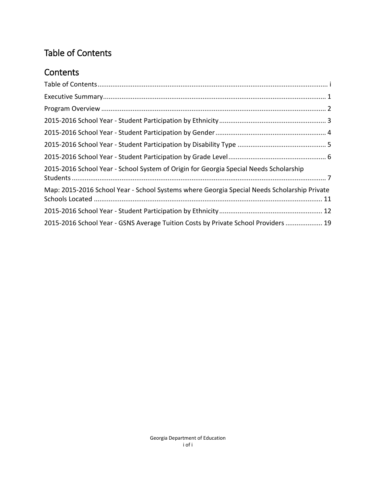#### <span id="page-2-0"></span>Table of Contents

#### **Contents**

| 2015-2016 School Year - School System of Origin for Georgia Special Needs Scholarship       |
|---------------------------------------------------------------------------------------------|
| Map: 2015-2016 School Year - School Systems where Georgia Special Needs Scholarship Private |
|                                                                                             |
| 2015-2016 School Year - GSNS Average Tuition Costs by Private School Providers  19          |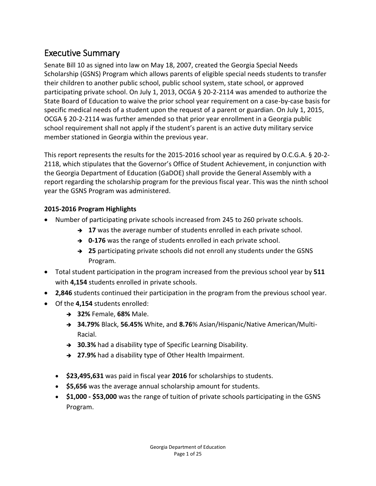#### <span id="page-3-0"></span>Executive Summary

Senate Bill 10 as signed into law on May 18, 2007, created the Georgia Special Needs Scholarship (GSNS) Program which allows parents of eligible special needs students to transfer their children to another public school, public school system, state school, or approved participating private school. On July 1, 2013, OCGA § 20-2-2114 was amended to authorize the State Board of Education to waive the prior school year requirement on a case-by-case basis for specific medical needs of a student upon the request of a parent or guardian. On July 1, 2015, OCGA § 20-2-2114 was further amended so that prior year enrollment in a Georgia public school requirement shall not apply if the student's parent is an active duty military service member stationed in Georgia within the previous year.

This report represents the results for the 2015-2016 school year as required by O.C.G.A. § 20-2- 2118, which stipulates that the Governor's Office of Student Achievement, in conjunction with the Georgia Department of Education (GaDOE) shall provide the General Assembly with a report regarding the scholarship program for the previous fiscal year. This was the ninth school year the GSNS Program was administered.

#### **2015-2016 Program Highlights**

- Number of participating private schools increased from 245 to 260 private schools.
	- → 17 was the average number of students enrolled in each private school.
	- **→ 0-176** was the range of students enrolled in each private school.
	- **25** participating private schools did not enroll any students under the GSNS Program.
- Total student participation in the program increased from the previous school year by **511**  with **4,154** students enrolled in private schools.
- **2,846** students continued their participation in the program from the previous school year.
- Of the **4,154** students enrolled:
	- **32%** Female, **68%** Male.
	- **34.79%** Black, **56.45%** White, and **8.76**% Asian/Hispanic/Native American/Multi-Racial.
	- **30.3%** had a disability type of Specific Learning Disability.
	- **→ 27.9%** had a disability type of Other Health Impairment.
	- **\$23,495,631** was paid in fiscal year **2016** for scholarships to students.
	- **\$5,656** was the average annual scholarship amount for students.
	- **\$1,000 - \$53,000** was the range of tuition of private schools participating in the GSNS Program.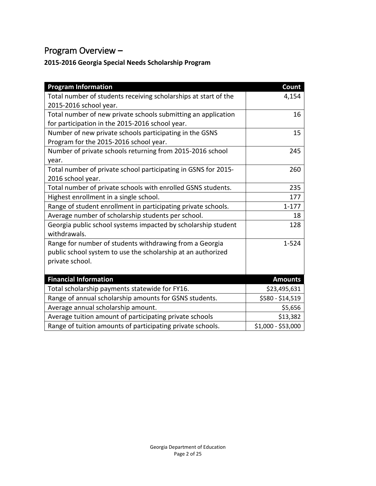### <span id="page-4-0"></span>Program Overview **–**

#### **2015-2016 Georgia Special Needs Scholarship Program**

| <b>Program Information</b>                                      | Count              |
|-----------------------------------------------------------------|--------------------|
| Total number of students receiving scholarships at start of the | 4,154              |
| 2015-2016 school year.                                          |                    |
| Total number of new private schools submitting an application   | 16                 |
| for participation in the 2015-2016 school year.                 |                    |
| Number of new private schools participating in the GSNS         | 15                 |
| Program for the 2015-2016 school year.                          |                    |
| Number of private schools returning from 2015-2016 school       | 245                |
| year.                                                           |                    |
| Total number of private school participating in GSNS for 2015-  | 260                |
| 2016 school year.                                               |                    |
| Total number of private schools with enrolled GSNS students.    | 235                |
| Highest enrollment in a single school.                          | 177                |
| Range of student enrollment in participating private schools.   | $1 - 177$          |
| Average number of scholarship students per school.              | 18                 |
| Georgia public school systems impacted by scholarship student   | 128                |
| withdrawals.                                                    |                    |
| Range for number of students withdrawing from a Georgia         | $1 - 524$          |
| public school system to use the scholarship at an authorized    |                    |
| private school.                                                 |                    |
|                                                                 |                    |
| <b>Financial Information</b>                                    | <b>Amounts</b>     |
| Total scholarship payments statewide for FY16.                  | \$23,495,631       |
| Range of annual scholarship amounts for GSNS students.          | \$580 - \$14,519   |
| Average annual scholarship amount.                              | \$5,656            |
| Average tuition amount of participating private schools         | \$13,382           |
| Range of tuition amounts of participating private schools.      | \$1,000 - \$53,000 |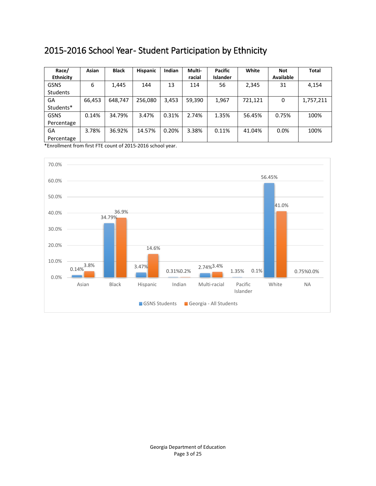#### <span id="page-5-0"></span>2015-2016 School Year- Student Participation by Ethnicity

| Race/            | Asian  | <b>Black</b> | <b>Hispanic</b> | Indian | Multi- | <b>Pacific</b>  | White   | Not              | <b>Total</b> |
|------------------|--------|--------------|-----------------|--------|--------|-----------------|---------|------------------|--------------|
| <b>Ethnicity</b> |        |              |                 |        | racial | <b>Islander</b> |         | <b>Available</b> |              |
| <b>GSNS</b>      | 6      | 1,445        | 144             | 13     | 114    | 56              | 2,345   | 31               | 4,154        |
| <b>Students</b>  |        |              |                 |        |        |                 |         |                  |              |
| GA               | 66,453 | 648.747      | 256.080         | 3,453  | 59,390 | 1,967           | 721.121 | 0                | 1,757,211    |
| Students*        |        |              |                 |        |        |                 |         |                  |              |
| <b>GSNS</b>      | 0.14%  | 34.79%       | 3.47%           | 0.31%  | 2.74%  | 1.35%           | 56.45%  | 0.75%            | 100%         |
| Percentage       |        |              |                 |        |        |                 |         |                  |              |
| GA               | 3.78%  | 36.92%       | 14.57%          | 0.20%  | 3.38%  | 0.11%           | 41.04%  | 0.0%             | 100%         |
| Percentage       |        |              |                 |        |        |                 |         |                  |              |

\*Enrollment from first FTE count of 2015-2016 school year.

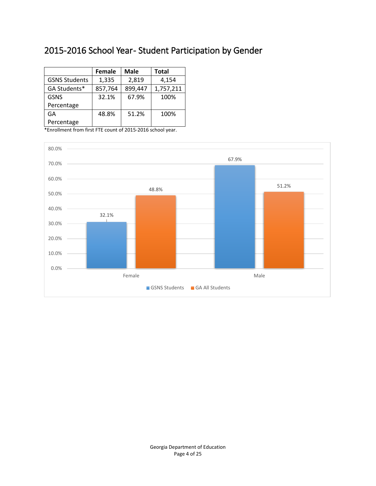#### <span id="page-6-0"></span>2015-2016 School Year- Student Participation by Gender

|                      | Female  | <b>Male</b> | Total     |
|----------------------|---------|-------------|-----------|
| <b>GSNS Students</b> | 1,335   | 2,819       | 4,154     |
| GA Students*         | 857,764 | 899,447     | 1,757,211 |
| <b>GSNS</b>          | 32.1%   | 67.9%       | 100%      |
| Percentage           |         |             |           |
| GA                   | 48.8%   | 51.2%       | 100%      |
| Percentage           |         |             |           |

\*Enrollment from first FTE count of 2015-2016 school year.

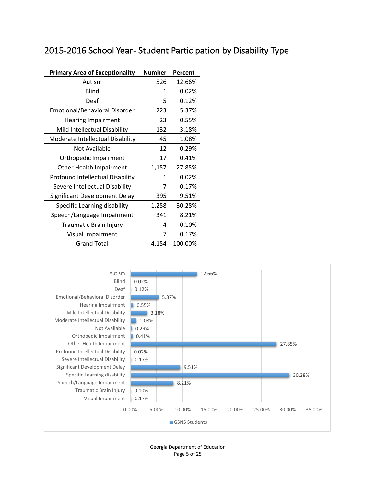#### <span id="page-7-0"></span>2015-2016 School Year- Student Participation by Disability Type

| <b>Primary Area of Exceptionality</b> | <b>Number</b> | Percent |
|---------------------------------------|---------------|---------|
| Autism                                | 526           | 12.66%  |
| <b>Blind</b>                          | 1             | 0.02%   |
| Deaf                                  | 5             | 0.12%   |
| Emotional/Behavioral Disorder         | 223           | 5.37%   |
| <b>Hearing Impairment</b>             | 23            | 0.55%   |
| Mild Intellectual Disability          | 132           | 3.18%   |
| Moderate Intellectual Disability      | 45            | 1.08%   |
| Not Available                         | 12            | 0.29%   |
| Orthopedic Impairment                 | 17            | 0.41%   |
| Other Health Impairment               | 1,157         | 27.85%  |
| Profound Intellectual Disability      | 1             | 0.02%   |
| Severe Intellectual Disability        | 7             | 0.17%   |
| Significant Development Delay         | 395           | 9.51%   |
| Specific Learning disability          | 1,258         | 30.28%  |
| Speech/Language Impairment            | 341           | 8.21%   |
| Traumatic Brain Injury                | 4             | 0.10%   |
| Visual Impairment                     | 7             | 0.17%   |
| <b>Grand Total</b>                    | 4,154         | 100.00% |



Georgia Department of Education Page 5 of 25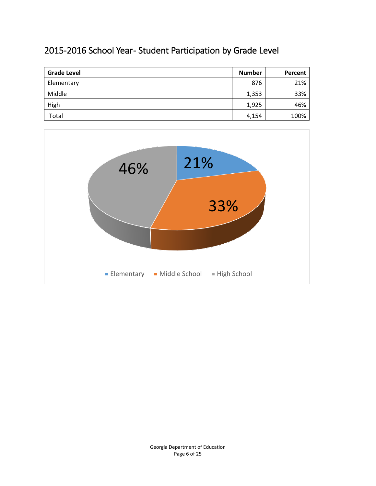#### <span id="page-8-0"></span>2015-2016 School Year- Student Participation by Grade Level

| <b>Grade Level</b> | <b>Number</b> | Percent |
|--------------------|---------------|---------|
| Elementary         | 876           | 21%     |
| Middle             | 1,353         | 33%     |
| High               | 1,925         | 46%     |
| Total              | 4,154         | 100%    |

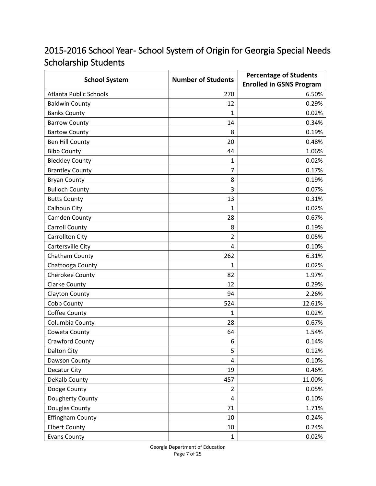### <span id="page-9-0"></span>2015-2016 School Year- School System of Origin for Georgia Special Needs Scholarship Students

| <b>School System</b>          | <b>Number of Students</b> | <b>Percentage of Students</b>   |  |
|-------------------------------|---------------------------|---------------------------------|--|
|                               |                           | <b>Enrolled in GSNS Program</b> |  |
| <b>Atlanta Public Schools</b> | 270                       | 6.50%                           |  |
| <b>Baldwin County</b>         | 12                        | 0.29%                           |  |
| <b>Banks County</b>           | $\mathbf{1}$              | 0.02%                           |  |
| <b>Barrow County</b>          | 14                        | 0.34%                           |  |
| <b>Bartow County</b>          | 8                         | 0.19%                           |  |
| <b>Ben Hill County</b>        | 20                        | 0.48%                           |  |
| <b>Bibb County</b>            | 44                        | 1.06%                           |  |
| <b>Bleckley County</b>        | 1                         | 0.02%                           |  |
| <b>Brantley County</b>        | 7                         | 0.17%                           |  |
| <b>Bryan County</b>           | 8                         | 0.19%                           |  |
| <b>Bulloch County</b>         | 3                         | 0.07%                           |  |
| <b>Butts County</b>           | 13                        | 0.31%                           |  |
| Calhoun City                  | 1                         | 0.02%                           |  |
| Camden County                 | 28                        | 0.67%                           |  |
| <b>Carroll County</b>         | 8                         | 0.19%                           |  |
| <b>Carrollton City</b>        | 2                         | 0.05%                           |  |
| <b>Cartersville City</b>      | $\overline{4}$            | 0.10%                           |  |
| Chatham County                | 262                       | 6.31%                           |  |
| Chattooga County              | 1                         | 0.02%                           |  |
| Cherokee County               | 82                        | 1.97%                           |  |
| <b>Clarke County</b>          | 12                        | 0.29%                           |  |
| Clayton County                | 94                        | 2.26%                           |  |
| Cobb County                   | 524                       | 12.61%                          |  |
| Coffee County                 | 1                         | 0.02%                           |  |
| Columbia County               | 28                        | 0.67%                           |  |
| Coweta County                 | 64                        | 1.54%                           |  |
| <b>Crawford County</b>        | 6                         | 0.14%                           |  |
| <b>Dalton City</b>            | 5                         | 0.12%                           |  |
| Dawson County                 | 4                         | 0.10%                           |  |
| Decatur City                  | 19                        | 0.46%                           |  |
| DeKalb County                 | 457                       | 11.00%                          |  |
| Dodge County                  | $\overline{2}$            | 0.05%                           |  |
| Dougherty County              | $\overline{4}$            | 0.10%                           |  |
| Douglas County                | 71                        | 1.71%                           |  |
| <b>Effingham County</b>       | 10                        | 0.24%                           |  |
| <b>Elbert County</b>          | 10                        | 0.24%                           |  |
| <b>Evans County</b>           | $\mathbf{1}$              | 0.02%                           |  |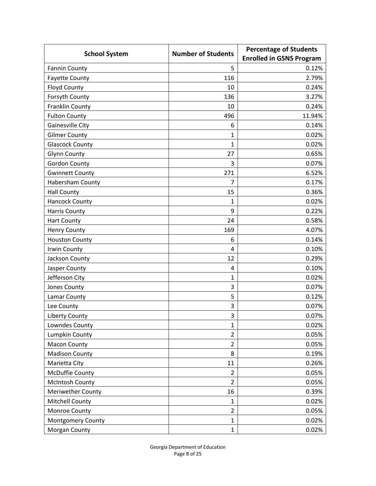|                         | <b>Percentage of Students</b> |                                 |
|-------------------------|-------------------------------|---------------------------------|
| <b>School System</b>    | <b>Number of Students</b>     | <b>Enrolled in GSNS Program</b> |
| <b>Fannin County</b>    | 5                             | 0.12%                           |
| <b>Fayette County</b>   | 116                           | 2.79%                           |
| <b>Floyd County</b>     | 10                            | 0.24%                           |
| Forsyth County          | 136                           | 3.27%                           |
| Franklin County         | 10                            | 0.24%                           |
| <b>Fulton County</b>    | 496                           | 11.94%                          |
| Gainesville City        | 6                             | 0.14%                           |
| <b>Gilmer County</b>    | 1                             | 0.02%                           |
| <b>Glascock County</b>  | 1                             | 0.02%                           |
| <b>Glynn County</b>     | 27                            | 0.65%                           |
| <b>Gordon County</b>    | 3                             | 0.07%                           |
| <b>Gwinnett County</b>  | 271                           | 6.52%                           |
| <b>Habersham County</b> | 7                             | 0.17%                           |
| <b>Hall County</b>      | 15                            | 0.36%                           |
| <b>Hancock County</b>   | 1                             | 0.02%                           |
| <b>Harris County</b>    | 9                             | 0.22%                           |
| <b>Hart County</b>      | 24                            | 0.58%                           |
| <b>Henry County</b>     | 169                           | 4.07%                           |
| <b>Houston County</b>   | 6                             | 0.14%                           |
| <b>Irwin County</b>     | 4                             | 0.10%                           |
| Jackson County          | 12                            | 0.29%                           |
| Jasper County           | 4                             | 0.10%                           |
| Jefferson City          | 1                             | 0.02%                           |
| Jones County            | 3                             | 0.07%                           |
| Lamar County            | 5                             | 0.12%                           |
| Lee County              | 3                             | 0.07%                           |
| <b>Liberty County</b>   | 3                             | 0.07%                           |
| Lowndes County          | 1                             | 0.02%                           |
| Lumpkin County          | $\overline{2}$                | 0.05%                           |
| <b>Macon County</b>     | $\overline{2}$                | 0.05%                           |
| <b>Madison County</b>   | 8                             | 0.19%                           |
| Marietta City           | 11                            | 0.26%                           |
| <b>McDuffie County</b>  | $\overline{2}$                | 0.05%                           |
| <b>McIntosh County</b>  | $\overline{2}$                | 0.05%                           |
| Meriwether County       | 16                            | 0.39%                           |
| <b>Mitchell County</b>  | 1                             | 0.02%                           |
| Monroe County           | $\overline{2}$                | 0.05%                           |
| Montgomery County       | $\mathbf{1}$                  | 0.02%                           |
| Morgan County           | $\mathbf{1}$                  | 0.02%                           |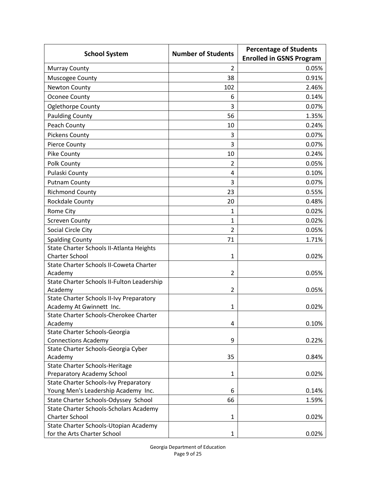|                                                   | <b>Number of Students</b> | <b>Percentage of Students</b>   |  |
|---------------------------------------------------|---------------------------|---------------------------------|--|
| <b>School System</b>                              |                           | <b>Enrolled in GSNS Program</b> |  |
| <b>Murray County</b>                              | 2                         | 0.05%                           |  |
| Muscogee County                                   | 38                        | 0.91%                           |  |
| <b>Newton County</b>                              | 102                       | 2.46%                           |  |
| <b>Oconee County</b>                              | 6                         | 0.14%                           |  |
| Oglethorpe County                                 | 3                         | 0.07%                           |  |
| <b>Paulding County</b>                            | 56                        | 1.35%                           |  |
| Peach County                                      | 10                        | 0.24%                           |  |
| <b>Pickens County</b>                             | 3                         | 0.07%                           |  |
| Pierce County                                     | 3                         | 0.07%                           |  |
| Pike County                                       | 10                        | 0.24%                           |  |
| Polk County                                       | 2                         | 0.05%                           |  |
| Pulaski County                                    | 4                         | 0.10%                           |  |
| <b>Putnam County</b>                              | 3                         | 0.07%                           |  |
| <b>Richmond County</b>                            | 23                        | 0.55%                           |  |
| <b>Rockdale County</b>                            | 20                        | 0.48%                           |  |
| Rome City                                         | 1                         | 0.02%                           |  |
| <b>Screven County</b>                             | $\mathbf{1}$              | 0.02%                           |  |
| Social Circle City                                | $\overline{2}$            | 0.05%                           |  |
| <b>Spalding County</b>                            | 71                        | 1.71%                           |  |
| State Charter Schools II-Atlanta Heights          |                           |                                 |  |
| <b>Charter School</b>                             | 1                         | 0.02%                           |  |
| State Charter Schools II-Coweta Charter           |                           |                                 |  |
| Academy                                           | 2                         | 0.05%                           |  |
| State Charter Schools II-Fulton Leadership        |                           |                                 |  |
| Academy                                           | 2                         | 0.05%                           |  |
| State Charter Schools II-Ivy Preparatory          |                           |                                 |  |
| Academy At Gwinnett Inc.                          | 1                         | 0.02%                           |  |
| State Charter Schools-Cherokee Charter<br>Academy | 4                         | 0.10%                           |  |
| State Charter Schools-Georgia                     |                           |                                 |  |
| <b>Connections Academy</b>                        | 9                         | 0.22%                           |  |
| State Charter Schools-Georgia Cyber               |                           |                                 |  |
| Academy                                           | 35                        | 0.84%                           |  |
| <b>State Charter Schools-Heritage</b>             |                           |                                 |  |
| Preparatory Academy School                        | 1                         | 0.02%                           |  |
| <b>State Charter Schools-Ivy Preparatory</b>      |                           |                                 |  |
| Young Men's Leadership Academy Inc.               | 6                         | 0.14%                           |  |
| State Charter Schools-Odyssey School              | 66                        | 1.59%                           |  |
| State Charter Schools-Scholars Academy            |                           |                                 |  |
| <b>Charter School</b>                             | 1                         | 0.02%                           |  |
| State Charter Schools-Utopian Academy             |                           |                                 |  |
| for the Arts Charter School                       | 1                         | 0.02%                           |  |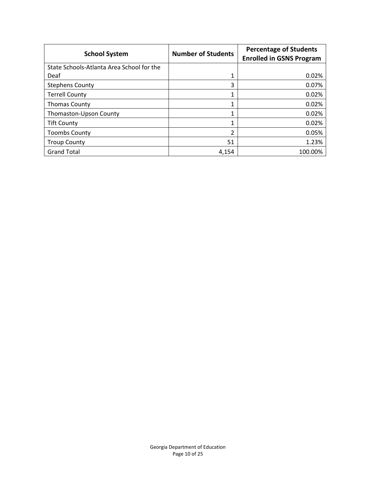| <b>School System</b>                      | <b>Number of Students</b> | <b>Percentage of Students</b><br><b>Enrolled in GSNS Program</b> |
|-------------------------------------------|---------------------------|------------------------------------------------------------------|
| State Schools-Atlanta Area School for the |                           |                                                                  |
| Deaf                                      | 1                         | 0.02%                                                            |
| <b>Stephens County</b>                    | 3                         | 0.07%                                                            |
| <b>Terrell County</b>                     | 1                         | 0.02%                                                            |
| <b>Thomas County</b>                      | 1                         | 0.02%                                                            |
| Thomaston-Upson County                    | 1                         | 0.02%                                                            |
| <b>Tift County</b>                        | 1                         | 0.02%                                                            |
| <b>Toombs County</b>                      | 2                         | 0.05%                                                            |
| <b>Troup County</b>                       | 51                        | 1.23%                                                            |
| <b>Grand Total</b>                        | 4.154                     | 100.00%                                                          |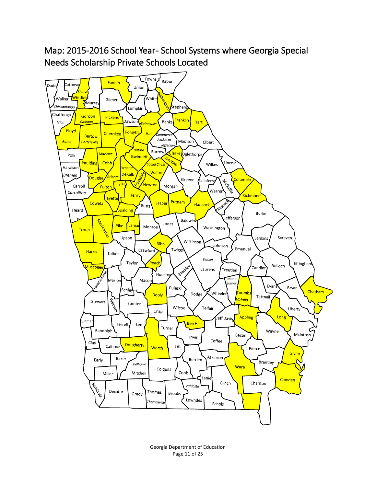#### <span id="page-13-0"></span>Map: 2015-2016 School Year- School Systems where Georgia Special Needs Scholarship Private Schools Located



Georgia Department of Education Page 11 of 25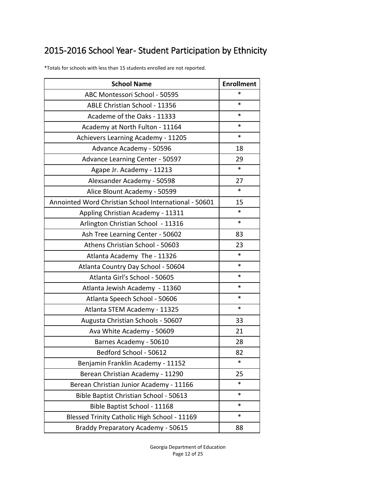## <span id="page-14-0"></span>2015-2016 School Year-Student Participation by Ethnicity

| <b>School Name</b>                                    | <b>Enrollment</b> |
|-------------------------------------------------------|-------------------|
| ABC Montessori School - 50595                         | *                 |
| ABLE Christian School - 11356                         | ∗                 |
| Academe of the Oaks - 11333                           | ∗                 |
| Academy at North Fulton - 11164                       | ∗                 |
| Achievers Learning Academy - 11205                    | *                 |
| Advance Academy - 50596                               | 18                |
| Advance Learning Center - 50597                       | 29                |
| Agape Jr. Academy - 11213                             | *                 |
| Alexsander Academy - 50598                            | 27                |
| Alice Blount Academy - 50599                          | *                 |
| Annointed Word Christian School International - 50601 | 15                |
| Appling Christian Academy - 11311                     | ∗                 |
| Arlington Christian School - 11316                    | $\ast$            |
| Ash Tree Learning Center - 50602                      | 83                |
| Athens Christian School - 50603                       | 23                |
| Atlanta Academy The - 11326                           | *                 |
| Atlanta Country Day School - 50604                    | *                 |
| Atlanta Girl's School - 50605                         | *                 |
| Atlanta Jewish Academy - 11360                        | ∗                 |
| Atlanta Speech School - 50606                         | *                 |
| Atlanta STEM Academy - 11325                          | *                 |
| Augusta Christian Schools - 50607                     | 33                |
| Ava White Academy - 50609                             | 21                |
| Barnes Academy - 50610                                | 28                |
| Bedford School - 50612                                | 82                |
| Benjamin Franklin Academy - 11152                     | *                 |
| Berean Christian Academy - 11290                      | 25                |
| Berean Christian Junior Academy - 11166               | *                 |
| Bible Baptist Christian School - 50613                | $\ast$            |
| Bible Baptist School - 11168                          | *                 |
| Blessed Trinity Catholic High School - 11169          | *                 |
| Braddy Preparatory Academy - 50615                    | 88                |

\*Totals for schools with less than 15 students enrolled are not reported.

Georgia Department of Education Page 12 of 25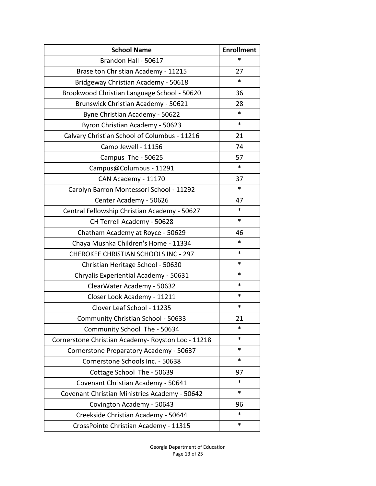| <b>School Name</b>                                 | <b>Enrollment</b> |
|----------------------------------------------------|-------------------|
| Brandon Hall - 50617                               | *                 |
| Braselton Christian Academy - 11215                | 27                |
| Bridgeway Christian Academy - 50618                | *                 |
| Brookwood Christian Language School - 50620        | 36                |
| <b>Brunswick Christian Academy - 50621</b>         | 28                |
| Byne Christian Academy - 50622                     | ∗                 |
| Byron Christian Academy - 50623                    | *                 |
| Calvary Christian School of Columbus - 11216       | 21                |
| Camp Jewell - 11156                                | 74                |
| Campus The - 50625                                 | 57                |
| Campus@Columbus - 11291                            | $\ast$            |
| CAN Academy - 11170                                | 37                |
| Carolyn Barron Montessori School - 11292           | *                 |
| Center Academy - 50626                             | 47                |
| Central Fellowship Christian Academy - 50627       | *                 |
| CH Terrell Academy - 50628                         | *                 |
| Chatham Academy at Royce - 50629                   | 46                |
| Chaya Mushka Children's Home - 11334               | $\ast$            |
| <b>CHEROKEE CHRISTIAN SCHOOLS INC - 297</b>        | *                 |
| Christian Heritage School - 50630                  | *                 |
| Chryalis Experiential Academy - 50631              | *                 |
| ClearWater Academy - 50632                         | *                 |
| Closer Look Academy - 11211                        | *                 |
| Clover Leaf School - 11235                         | *                 |
| Community Christian School - 50633                 | 21                |
| Community School The - 50634                       | *                 |
| Cornerstone Christian Academy- Royston Loc - 11218 | *                 |
| Cornerstone Preparatory Academy - 50637            | *                 |
| Cornerstone Schools Inc. - 50638                   | $\ast$            |
| Cottage School The - 50639                         | 97                |
| Covenant Christian Academy - 50641                 | *                 |
| Covenant Christian Ministries Academy - 50642      | *                 |
| Covington Academy - 50643                          | 96                |
| Creekside Christian Academy - 50644                | *                 |
| CrossPointe Christian Academy - 11315              | $\ast$            |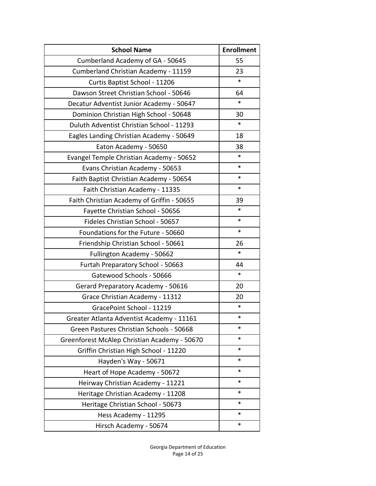| <b>School Name</b>                           | <b>Enrollment</b> |
|----------------------------------------------|-------------------|
| Cumberland Academy of GA - 50645             | 55                |
| Cumberland Christian Academy - 11159         | 23                |
| Curtis Baptist School - 11206                | $\ast$            |
| Dawson Street Christian School - 50646       | 64                |
| Decatur Adventist Junior Academy - 50647     | $\ast$            |
| Dominion Christian High School - 50648       | 30                |
| Duluth Adventist Christian School - 11293    | $\ast$            |
| Eagles Landing Christian Academy - 50649     | 18                |
| Eaton Academy - 50650                        | 38                |
| Evangel Temple Christian Academy - 50652     | *                 |
| Evans Christian Academy - 50653              | *                 |
| Faith Baptist Christian Academy - 50654      | *                 |
| Faith Christian Academy - 11335              | $\ast$            |
| Faith Christian Academy of Griffin - 50655   | 39                |
| Fayette Christian School - 50656             | *                 |
| Fideles Christian School - 50657             | $\ast$            |
| Foundations for the Future - 50660           | *                 |
| Friendship Christian School - 50661          | 26                |
| Fullington Academy - 50662                   | $\ast$            |
| Furtah Preparatory School - 50663            | 44                |
| Gatewood Schools - 50666                     | $\ast$            |
| Gerard Preparatory Academy - 50616           | 20                |
| Grace Christian Academy - 11312              | 20                |
| GracePoint School - 11219                    | $\ast$            |
| Greater Atlanta Adventist Academy - 11161    | ∗                 |
| Green Pastures Christian Schools - 50668     | ∗                 |
| Greenforest McAlep Christian Academy - 50670 | $\ast$            |
| Griffin Christian High School - 11220        | *                 |
| Hayden's Way - 50671                         | *                 |
| Heart of Hope Academy - 50672                | *                 |
| Heirway Christian Academy - 11221            | *                 |
| Heritage Christian Academy - 11208           | *                 |
| Heritage Christian School - 50673            | $\ast$            |
| Hess Academy - 11295                         | *                 |
| Hirsch Academy - 50674                       | *                 |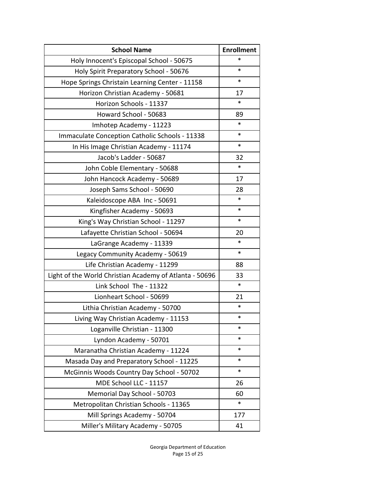| <b>School Name</b>                                      | <b>Enrollment</b> |
|---------------------------------------------------------|-------------------|
| Holy Innocent's Episcopal School - 50675                | *                 |
| Holy Spirit Preparatory School - 50676                  | *                 |
| Hope Springs Christain Learning Center - 11158          | *                 |
| Horizon Christian Academy - 50681                       | 17                |
| Horizon Schools - 11337                                 | *                 |
| Howard School - 50683                                   | 89                |
| Imhotep Academy - 11223                                 | *                 |
| Immaculate Conception Catholic Schools - 11338          | *                 |
| In His Image Christian Academy - 11174                  | *                 |
| Jacob's Ladder - 50687                                  | 32                |
| John Coble Elementary - 50688                           | $\ast$            |
| John Hancock Academy - 50689                            | 17                |
| Joseph Sams School - 50690                              | 28                |
| Kaleidoscope ABA Inc - 50691                            | *                 |
| Kingfisher Academy - 50693                              | *                 |
| King's Way Christian School - 11297                     | *                 |
| Lafayette Christian School - 50694                      | 20                |
| LaGrange Academy - 11339                                | ∗                 |
| Legacy Community Academy - 50619                        | *                 |
| Life Christian Academy - 11299                          | 88                |
| Light of the World Christian Academy of Atlanta - 50696 | 33                |
| Link School The - 11322                                 | $\ast$            |
| Lionheart School - 50699                                | 21                |
| Lithia Christian Academy - 50700                        | *                 |
| Living Way Christian Academy - 11153                    | ∗                 |
| Loganville Christian - 11300                            | *                 |
| Lyndon Academy - 50701                                  | *                 |
| Maranatha Christian Academy - 11224                     | *                 |
| Masada Day and Preparatory School - 11225               | *                 |
| McGinnis Woods Country Day School - 50702               | *                 |
| MDE School LLC - 11157                                  | 26                |
| Memorial Day School - 50703                             | 60                |
| Metropolitan Christian Schools - 11365                  | *                 |
| Mill Springs Academy - 50704                            | 177               |
| Miller's Military Academy - 50705                       | 41                |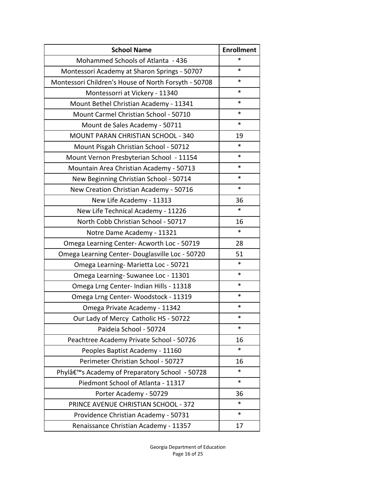| <b>School Name</b>                                          | <b>Enrollment</b> |
|-------------------------------------------------------------|-------------------|
| Mohammed Schools of Atlanta - 436                           | *                 |
| Montessori Academy at Sharon Springs - 50707                | *                 |
| Montessori Children's House of North Forsyth - 50708        | *                 |
| Montessorri at Vickery - 11340                              | *                 |
| Mount Bethel Christian Academy - 11341                      | *                 |
| Mount Carmel Christian School - 50710                       | *                 |
| Mount de Sales Academy - 50711                              | *                 |
| MOUNT PARAN CHRISTIAN SCHOOL - 340                          | 19                |
| Mount Pisgah Christian School - 50712                       | *                 |
| Mount Vernon Presbyterian School - 11154                    | *                 |
| Mountain Area Christian Academy - 50713                     | *                 |
| New Beginning Christian School - 50714                      | *                 |
| New Creation Christian Academy - 50716                      | *                 |
| New Life Academy - 11313                                    | 36                |
| New Life Technical Academy - 11226                          | $\ast$            |
| North Cobb Christian School - 50717                         | 16                |
| Notre Dame Academy - 11321                                  | *                 |
| Omega Learning Center-Acworth Loc - 50719                   | 28                |
| Omega Learning Center- Douglasville Loc - 50720             | 51                |
| Omega Learning-Marietta Loc - 50721                         | *                 |
| Omega Learning-Suwanee Loc - 11301                          | *                 |
| Omega Lrng Center- Indian Hills - 11318                     | *                 |
| Omega Lrng Center-Woodstock - 11319                         | *                 |
| Omega Private Academy - 11342                               | *                 |
| Our Lady of Mercy Catholic HS - 50722                       | ∗                 |
| Paideia School - 50724                                      | *                 |
| Peachtree Academy Private School - 50726                    | 16                |
| Peoples Baptist Academy - 11160                             | *                 |
| Perimeter Christian School - 50727                          | 16                |
| Phylâ€ <sup>™</sup> s Academy of Preparatory School - 50728 | *                 |
| Piedmont School of Atlanta - 11317                          | *                 |
| Porter Academy - 50729                                      | 36                |
| PRINCE AVENUE CHRISTIAN SCHOOL - 372                        | *                 |
| Providence Christian Academy - 50731                        | $\ast$            |
| Renaissance Christian Academy - 11357                       | 17                |

Georgia Department of Education Page 16 of 25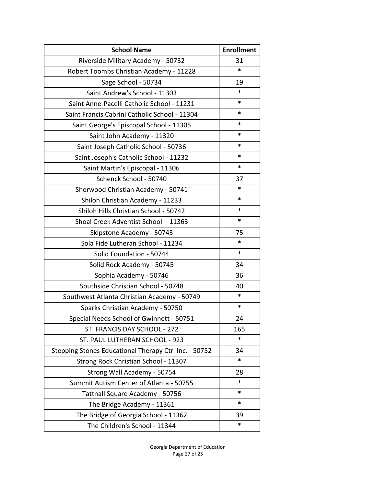| <b>School Name</b>                                   | <b>Enrollment</b> |
|------------------------------------------------------|-------------------|
| Riverside Military Academy - 50732                   | 31                |
| Robert Toombs Christian Academy - 11228              | *                 |
| Sage School - 50734                                  | 19                |
| Saint Andrew's School - 11303                        | ∗                 |
| Saint Anne-Pacelli Catholic School - 11231           | *                 |
| Saint Francis Cabrini Catholic School - 11304        | *                 |
| Saint George's Episcopal School - 11305              | *                 |
| Saint John Academy - 11320                           | *                 |
| Saint Joseph Catholic School - 50736                 | *                 |
| Saint Joseph's Catholic School - 11232               | *                 |
| Saint Martin's Episcopal - 11306                     | *                 |
| Schenck School - 50740                               | 37                |
| Sherwood Christian Academy - 50741                   | *                 |
| Shiloh Christian Academy - 11233                     | *                 |
| Shiloh Hills Christian School - 50742                | *                 |
| Shoal Creek Adventist School - 11363                 | *                 |
| Skipstone Academy - 50743                            | 75                |
| Sola Fide Lutheran School - 11234                    | *                 |
| Solid Foundation - 50744                             | *                 |
| Solid Rock Academy - 50745                           | 34                |
| Sophia Academy - 50746                               | 36                |
| Southside Christian School - 50748                   | 40                |
| Southwest Atlanta Christian Academy - 50749          | *                 |
| Sparks Christian Academy - 50750                     | *                 |
| Special Needs School of Gwinnett - 50751             | 24                |
| ST. FRANCIS DAY SCHOOL - 272                         | 165               |
| ST. PAUL LUTHERAN SCHOOL - 923                       | *                 |
| Stepping Stones Educational Therapy Ctr Inc. - 50752 | 34                |
| Strong Rock Christian School - 11307                 | *                 |
| Strong Wall Academy - 50754                          | 28                |
| Summit Autism Center of Atlanta - 50755              | *                 |
| Tattnall Square Academy - 50756                      | *                 |
| The Bridge Academy - 11361                           | *                 |
| The Bridge of Georgia School - 11362                 | 39                |
| The Children's School - 11344                        | *                 |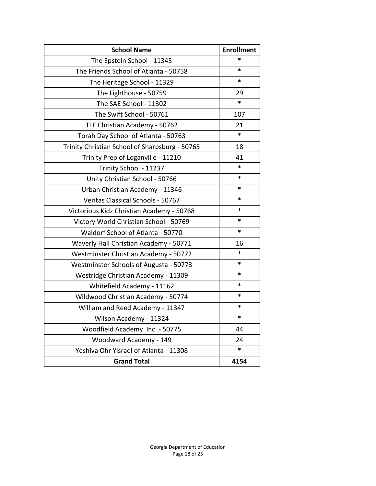| <b>School Name</b>                             | <b>Enrollment</b> |
|------------------------------------------------|-------------------|
| The Epstein School - 11345                     | *                 |
| The Friends School of Atlanta - 50758          | *                 |
| The Heritage School - 11329                    | *                 |
| The Lighthouse - 50759                         | 29                |
| The SAE School - 11302                         | *                 |
| The Swift School - 50761                       | 107               |
| TLE Christian Academy - 50762                  | 21                |
| Torah Day School of Atlanta - 50763            | *                 |
| Trinity Christian School of Sharpsburg - 50765 | 18                |
| Trinity Prep of Loganville - 11210             | 41                |
| Trinity School - 11237                         | *                 |
| Unity Christian School - 50766                 | *                 |
| Urban Christian Academy - 11346                | *                 |
| Veritas Classical Schools - 50767              | *                 |
| Victorious Kidz Christian Academy - 50768      | *                 |
| Victory World Christian School - 50769         | *                 |
| Waldorf School of Atlanta - 50770              | *                 |
| Waverly Hall Christian Academy - 50771         | 16                |
| Westminster Christian Academy - 50772          | ∗                 |
| Westminster Schools of Augusta - 50773         | *                 |
| Westridge Christian Academy - 11309            | *                 |
| Whitefield Academy - 11162                     | *                 |
| Wildwood Christian Academy - 50774             | *                 |
| William and Reed Academy - 11347               | *                 |
| Wilson Academy - 11324                         | ∗                 |
| Woodfield Academy Inc. - 50775                 | 44                |
| Woodward Academy - 149                         | 24                |
| Yeshiva Ohr Yisrael of Atlanta - 11308         | *                 |
| <b>Grand Total</b>                             | 4154              |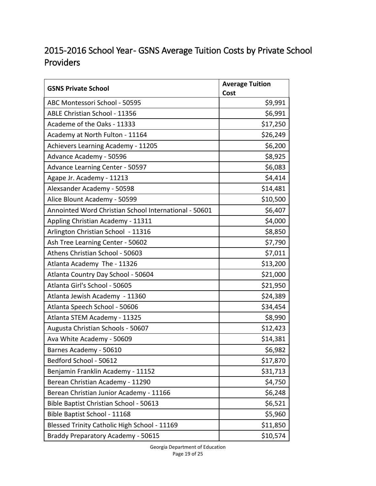#### <span id="page-21-0"></span>2015-2016 School Year- GSNS Average Tuition Costs by Private School Providers

| <b>GSNS Private School</b>                            | <b>Average Tuition</b> |
|-------------------------------------------------------|------------------------|
| ABC Montessori School - 50595                         | Cost<br>\$9,991        |
| ABLE Christian School - 11356                         | \$6,991                |
| Academe of the Oaks - 11333                           | \$17,250               |
|                                                       | \$26,249               |
| Academy at North Fulton - 11164                       |                        |
| Achievers Learning Academy - 11205                    | \$6,200                |
| Advance Academy - 50596                               | \$8,925                |
| Advance Learning Center - 50597                       | \$6,083                |
| Agape Jr. Academy - 11213                             | \$4,414                |
| Alexsander Academy - 50598                            | \$14,481               |
| Alice Blount Academy - 50599                          | \$10,500               |
| Annointed Word Christian School International - 50601 | \$6,407                |
| Appling Christian Academy - 11311                     | \$4,000                |
| Arlington Christian School - 11316                    | \$8,850                |
| Ash Tree Learning Center - 50602                      | \$7,790                |
| Athens Christian School - 50603                       | \$7,011                |
| Atlanta Academy The - 11326                           | \$13,200               |
| Atlanta Country Day School - 50604                    | \$21,000               |
| Atlanta Girl's School - 50605                         | \$21,950               |
| Atlanta Jewish Academy - 11360                        | \$24,389               |
| Atlanta Speech School - 50606                         | \$34,454               |
| Atlanta STEM Academy - 11325                          | \$8,990                |
| Augusta Christian Schools - 50607                     | \$12,423               |
| Ava White Academy - 50609                             | \$14,381               |
| Barnes Academy - 50610                                | \$6,982                |
| Bedford School - 50612                                | \$17,870               |
| Benjamin Franklin Academy - 11152                     | \$31,713               |
| Berean Christian Academy - 11290                      | \$4,750                |
| Berean Christian Junior Academy - 11166               | \$6,248                |
| Bible Baptist Christian School - 50613                | \$6,521                |
| Bible Baptist School - 11168                          | \$5,960                |
| Blessed Trinity Catholic High School - 11169          | \$11,850               |
| Braddy Preparatory Academy - 50615                    | \$10,574               |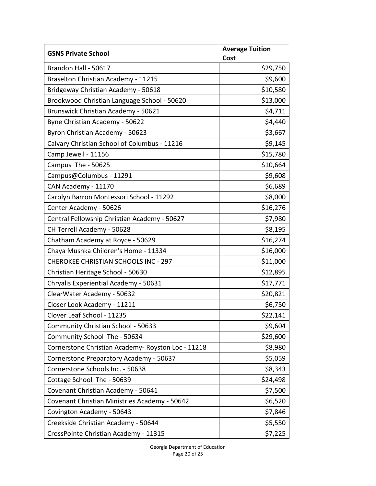| <b>GSNS Private School</b>                         | <b>Average Tuition</b> |
|----------------------------------------------------|------------------------|
| Brandon Hall - 50617                               | Cost<br>\$29,750       |
| Braselton Christian Academy - 11215                | \$9,600                |
| Bridgeway Christian Academy - 50618                | \$10,580               |
| Brookwood Christian Language School - 50620        | \$13,000               |
| Brunswick Christian Academy - 50621                | \$4,711                |
| Byne Christian Academy - 50622                     | \$4,440                |
| Byron Christian Academy - 50623                    | \$3,667                |
| Calvary Christian School of Columbus - 11216       | \$9,145                |
| Camp Jewell - 11156                                | \$15,780               |
| Campus The - 50625                                 | \$10,664               |
| Campus@Columbus - 11291                            | \$9,608                |
| CAN Academy - 11170                                | \$6,689                |
| Carolyn Barron Montessori School - 11292           | \$8,000                |
| Center Academy - 50626                             | \$16,276               |
| Central Fellowship Christian Academy - 50627       | \$7,980                |
| CH Terrell Academy - 50628                         | \$8,195                |
| Chatham Academy at Royce - 50629                   | \$16,274               |
| Chaya Mushka Children's Home - 11334               | \$16,000               |
| <b>CHEROKEE CHRISTIAN SCHOOLS INC - 297</b>        | \$11,000               |
| Christian Heritage School - 50630                  | \$12,895               |
| Chryalis Experiential Academy - 50631              | \$17,771               |
| ClearWater Academy - 50632                         | \$20,821               |
| Closer Look Academy - 11211                        | \$6,750                |
| Clover Leaf School - 11235                         | \$22,141               |
| Community Christian School - 50633                 | \$9,604                |
| Community School The - 50634                       | \$29,600               |
| Cornerstone Christian Academy- Royston Loc - 11218 | \$8,980                |
| Cornerstone Preparatory Academy - 50637            | \$5,059                |
| Cornerstone Schools Inc. - 50638                   | \$8,343                |
| Cottage School The - 50639                         | \$24,498               |
| Covenant Christian Academy - 50641                 | \$7,500                |
| Covenant Christian Ministries Academy - 50642      | \$6,520                |
| Covington Academy - 50643                          | \$7,846                |
| Creekside Christian Academy - 50644                | \$5,550                |
| CrossPointe Christian Academy - 11315              | \$7,225                |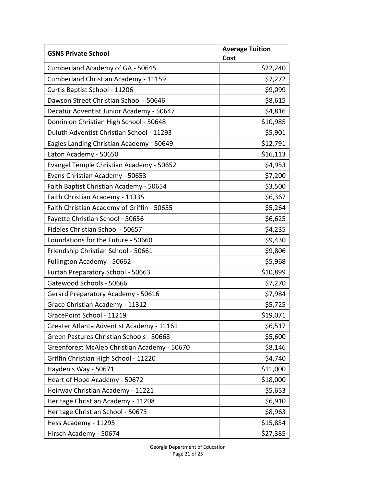| <b>GSNS Private School</b>                   | <b>Average Tuition</b> |
|----------------------------------------------|------------------------|
|                                              | Cost                   |
| Cumberland Academy of GA - 50645             | \$22,240               |
| Cumberland Christian Academy - 11159         | \$7,272                |
| Curtis Baptist School - 11206                | \$9,099                |
| Dawson Street Christian School - 50646       | \$8,615                |
| Decatur Adventist Junior Academy - 50647     | \$4,816                |
| Dominion Christian High School - 50648       | \$10,985               |
| Duluth Adventist Christian School - 11293    | \$5,901                |
| Eagles Landing Christian Academy - 50649     | \$12,791               |
| Eaton Academy - 50650                        | \$16,113               |
| Evangel Temple Christian Academy - 50652     | \$4,953                |
| Evans Christian Academy - 50653              | \$7,200                |
| Faith Baptist Christian Academy - 50654      | \$3,500                |
| Faith Christian Academy - 11335              | \$6,367                |
| Faith Christian Academy of Griffin - 50655   | \$5,264                |
| Fayette Christian School - 50656             | \$6,625                |
| Fideles Christian School - 50657             | \$4,235                |
| Foundations for the Future - 50660           | \$9,430                |
| Friendship Christian School - 50661          | \$9,806                |
| Fullington Academy - 50662                   | \$5,968                |
| Furtah Preparatory School - 50663            | \$10,899               |
| Gatewood Schools - 50666                     | \$7,270                |
| Gerard Preparatory Academy - 50616           | \$7,984                |
| Grace Christian Academy - 11312              | \$5,725                |
| GracePoint School - 11219                    | \$19,071               |
| Greater Atlanta Adventist Academy - 11161    | \$6,517                |
| Green Pastures Christian Schools - 50668     | \$5,600                |
| Greenforest McAlep Christian Academy - 50670 | \$8,146                |
| Griffin Christian High School - 11220        | \$4,740                |
| Hayden's Way - 50671                         | \$11,000               |
| Heart of Hope Academy - 50672                | \$18,000               |
| Heirway Christian Academy - 11221            | \$5,653                |
| Heritage Christian Academy - 11208           | \$6,910                |
| Heritage Christian School - 50673            | \$8,963                |
| Hess Academy - 11295                         | \$15,854               |
| Hirsch Academy - 50674                       | \$27,385               |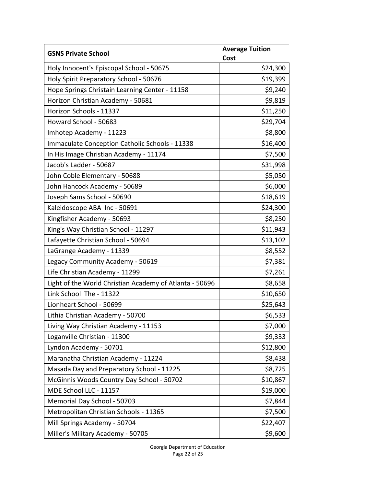| <b>GSNS Private School</b>                              | <b>Average Tuition</b> |
|---------------------------------------------------------|------------------------|
| Holy Innocent's Episcopal School - 50675                | Cost<br>\$24,300       |
| Holy Spirit Preparatory School - 50676                  | \$19,399               |
| Hope Springs Christain Learning Center - 11158          | \$9,240                |
| Horizon Christian Academy - 50681                       | \$9,819                |
| Horizon Schools - 11337                                 | \$11,250               |
| Howard School - 50683                                   | \$29,704               |
| Imhotep Academy - 11223                                 | \$8,800                |
| Immaculate Conception Catholic Schools - 11338          | \$16,400               |
| In His Image Christian Academy - 11174                  | \$7,500                |
| Jacob's Ladder - 50687                                  | \$31,998               |
| John Coble Elementary - 50688                           | \$5,050                |
| John Hancock Academy - 50689                            | \$6,000                |
| Joseph Sams School - 50690                              | \$18,619               |
| Kaleidoscope ABA Inc - 50691                            | \$24,300               |
| Kingfisher Academy - 50693                              | \$8,250                |
| King's Way Christian School - 11297                     | \$11,943               |
| Lafayette Christian School - 50694                      | \$13,102               |
| LaGrange Academy - 11339                                | \$8,552                |
| Legacy Community Academy - 50619                        | \$7,381                |
| Life Christian Academy - 11299                          | \$7,261                |
| Light of the World Christian Academy of Atlanta - 50696 | \$8,658                |
| Link School The - 11322                                 | \$10,650               |
| Lionheart School - 50699                                | \$25,643               |
| Lithia Christian Academy - 50700                        | \$6,533                |
| Living Way Christian Academy - 11153                    | \$7,000                |
| Loganville Christian - 11300                            | \$9,333                |
| Lyndon Academy - 50701                                  | \$12,800               |
| Maranatha Christian Academy - 11224                     | \$8,438                |
| Masada Day and Preparatory School - 11225               | \$8,725                |
| McGinnis Woods Country Day School - 50702               | \$10,867               |
| MDE School LLC - 11157                                  | \$19,000               |
| Memorial Day School - 50703                             | \$7,844                |
| Metropolitan Christian Schools - 11365                  | \$7,500                |
| Mill Springs Academy - 50704                            | \$22,407               |
| Miller's Military Academy - 50705                       | \$9,600                |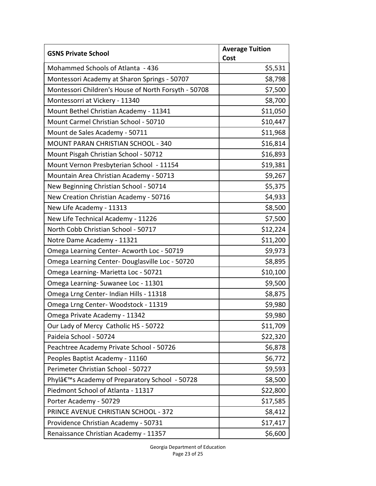| <b>GSNS Private School</b>                                  | <b>Average Tuition</b> |
|-------------------------------------------------------------|------------------------|
| Mohammed Schools of Atlanta - 436                           | Cost<br>\$5,531        |
| Montessori Academy at Sharon Springs - 50707                | \$8,798                |
| Montessori Children's House of North Forsyth - 50708        | \$7,500                |
| Montessorri at Vickery - 11340                              | \$8,700                |
| Mount Bethel Christian Academy - 11341                      | \$11,050               |
| Mount Carmel Christian School - 50710                       | \$10,447               |
| Mount de Sales Academy - 50711                              | \$11,968               |
| <b>MOUNT PARAN CHRISTIAN SCHOOL - 340</b>                   | \$16,814               |
| Mount Pisgah Christian School - 50712                       | \$16,893               |
| Mount Vernon Presbyterian School - 11154                    | \$19,381               |
| Mountain Area Christian Academy - 50713                     | \$9,267                |
| New Beginning Christian School - 50714                      | \$5,375                |
| New Creation Christian Academy - 50716                      | \$4,933                |
| New Life Academy - 11313                                    | \$8,500                |
| New Life Technical Academy - 11226                          | \$7,500                |
| North Cobb Christian School - 50717                         | \$12,224               |
| Notre Dame Academy - 11321                                  | \$11,200               |
| Omega Learning Center-Acworth Loc - 50719                   | \$9,973                |
| Omega Learning Center-Douglasville Loc - 50720              | \$8,895                |
| Omega Learning- Marietta Loc - 50721                        | \$10,100               |
| Omega Learning-Suwanee Loc - 11301                          | \$9,500                |
| Omega Lrng Center- Indian Hills - 11318                     | \$8,875                |
| Omega Lrng Center-Woodstock - 11319                         | \$9,980                |
| Omega Private Academy - 11342                               | \$9,980                |
| Our Lady of Mercy Catholic HS - 50722                       | \$11,709               |
| Paideia School - 50724                                      | \$22,320               |
| Peachtree Academy Private School - 50726                    | \$6,878                |
| Peoples Baptist Academy - 11160                             | \$6,772                |
| Perimeter Christian School - 50727                          | \$9,593                |
| Phylâ€ <sup>™</sup> s Academy of Preparatory School - 50728 | \$8,500                |
| Piedmont School of Atlanta - 11317                          | \$22,800               |
| Porter Academy - 50729                                      | \$17,585               |
| PRINCE AVENUE CHRISTIAN SCHOOL - 372                        | \$8,412                |
| Providence Christian Academy - 50731                        | \$17,417               |
| Renaissance Christian Academy - 11357                       | \$6,600                |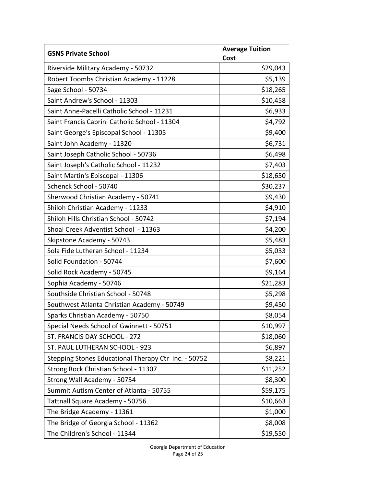| <b>GSNS Private School</b>                           | <b>Average Tuition</b> |
|------------------------------------------------------|------------------------|
|                                                      | Cost                   |
| Riverside Military Academy - 50732                   | \$29,043               |
| Robert Toombs Christian Academy - 11228              | \$5,139                |
| Sage School - 50734                                  | \$18,265               |
| Saint Andrew's School - 11303                        | \$10,458               |
| Saint Anne-Pacelli Catholic School - 11231           | \$6,933                |
| Saint Francis Cabrini Catholic School - 11304        | \$4,792                |
| Saint George's Episcopal School - 11305              | \$9,400                |
| Saint John Academy - 11320                           | \$6,731                |
| Saint Joseph Catholic School - 50736                 | \$6,498                |
| Saint Joseph's Catholic School - 11232               | \$7,403                |
| Saint Martin's Episcopal - 11306                     | \$18,650               |
| Schenck School - 50740                               | \$30,237               |
| Sherwood Christian Academy - 50741                   | \$9,430                |
| Shiloh Christian Academy - 11233                     | \$4,910                |
| Shiloh Hills Christian School - 50742                | \$7,194                |
| Shoal Creek Adventist School - 11363                 | \$4,200                |
| Skipstone Academy - 50743                            | \$5,483                |
| Sola Fide Lutheran School - 11234                    | \$5,033                |
| Solid Foundation - 50744                             | \$7,600                |
| Solid Rock Academy - 50745                           | \$9,164                |
| Sophia Academy - 50746                               | \$21,283               |
| Southside Christian School - 50748                   | \$5,298                |
| Southwest Atlanta Christian Academy - 50749          | \$9,450                |
| Sparks Christian Academy - 50750                     | \$8,054                |
| Special Needs School of Gwinnett - 50751             | \$10,997               |
| ST. FRANCIS DAY SCHOOL - 272                         | \$18,060               |
| ST. PAUL LUTHERAN SCHOOL - 923                       | \$6,897                |
| Stepping Stones Educational Therapy Ctr Inc. - 50752 | \$8,221                |
| Strong Rock Christian School - 11307                 | \$11,252               |
| Strong Wall Academy - 50754                          | \$8,300                |
| Summit Autism Center of Atlanta - 50755              | \$59,175               |
| Tattnall Square Academy - 50756                      | \$10,663               |
| The Bridge Academy - 11361                           | \$1,000                |
| The Bridge of Georgia School - 11362                 | \$8,008                |
| The Children's School - 11344                        | \$19,550               |